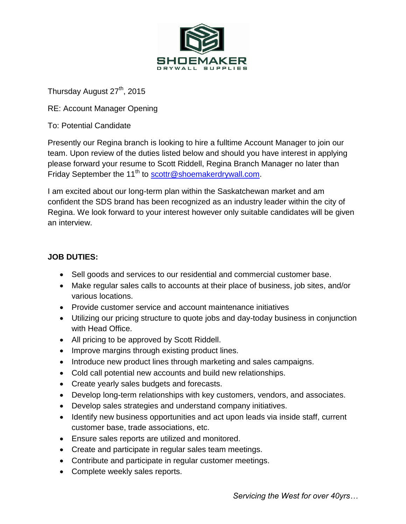

Thursday August 27<sup>th</sup>, 2015

RE: Account Manager Opening

To: Potential Candidate

Presently our Regina branch is looking to hire a fulltime Account Manager to join our team. Upon review of the duties listed below and should you have interest in applying please forward your resume to Scott Riddell, Regina Branch Manager no later than Friday September the 11<sup>th</sup> to [scottr@shoemakerdrywall.com.](mailto:scottr@shoemakerdrywall.com)

I am excited about our long-term plan within the Saskatchewan market and am confident the SDS brand has been recognized as an industry leader within the city of Regina. We look forward to your interest however only suitable candidates will be given an interview.

## **JOB DUTIES:**

- Sell goods and services to our residential and commercial customer base.
- Make regular sales calls to accounts at their place of business, job sites, and/or various locations.
- Provide customer service and account maintenance initiatives
- Utilizing our pricing structure to quote jobs and day-today business in conjunction with Head Office.
- All pricing to be approved by Scott Riddell.
- Improve margins through existing product lines.
- Introduce new product lines through marketing and sales campaigns.
- Cold call potential new accounts and build new relationships.
- Create yearly sales budgets and forecasts.
- Develop long-term relationships with key customers, vendors, and associates.
- Develop sales strategies and understand company initiatives.
- Identify new business opportunities and act upon leads via inside staff, current customer base, trade associations, etc.
- Ensure sales reports are utilized and monitored.
- Create and participate in regular sales team meetings.
- Contribute and participate in regular customer meetings.
- Complete weekly sales reports.